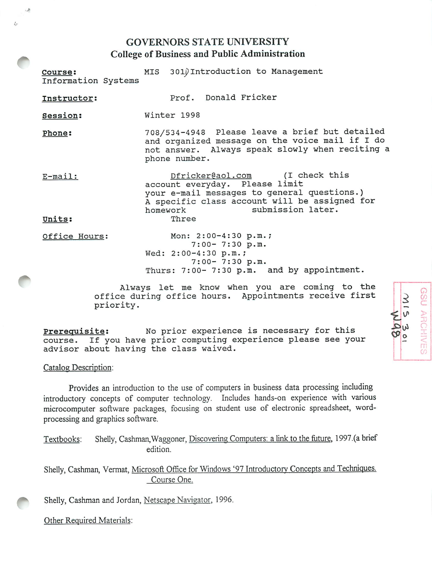# *GOVERNORS STATE UNIVERSITY College of Business and Public Administration*

| Course:<br>Information Systems | MIS 3010 Introduction to Management                                                                                                                                                               |  |
|--------------------------------|---------------------------------------------------------------------------------------------------------------------------------------------------------------------------------------------------|--|
| Instructor:                    | Prof. Donald Fricker                                                                                                                                                                              |  |
| Session:                       | Winter 1998                                                                                                                                                                                       |  |
| Phone:                         | 708/534-4948 Please leave a brief but detailed<br>and organized message on the voice mail if I do<br>not answer. Always speak slowly when reciting a<br>phone number.                             |  |
| E-mail:                        | Dfricker@aol.com (I check this<br>account everyday. Please limit<br>your e-mail messages to general questions.)<br>A specific class account will be assigned for<br>submission later.<br>homework |  |
| Units:                         | Three                                                                                                                                                                                             |  |
| Office Hours:                  | Mon: 2:00-4:30 p.m.;<br>$7:00 - 7:30 p.m.$<br>Wed: 2:00-4:30 p.m.;<br>$7:00 - 7:30 p.m.$                                                                                                          |  |

Always let me know when you are coming to the office during office hours. Appointments receive first priority.

Thurs: 7:00- 7:30 p.m. and by appointment.

*o u CO c*

*CO*

*fcU.*

*-£>i^ c*  $\omega$   $\sim$ 

Prerequisite: No prior experience is necessary for this course. If you have prior computing experience please see your advisor about having the class waived.

Catalog Description:

 $\sim$   $\hbar$ 

 $L$ 

Provides an introduction to the use of computers in business data processing including introductory concepts of computer technology. Includes hands-on experience with various microcomputer software packages, focusing on student use of electronic spreadsheet, wordprocessing and graphics software.

Textbooks: Shelly, Cashman,Waggoner, Discovering Computers: a link to the future, 1997.(a brief edition.

Shelly, Cashman, Vermat, Microsoft Office for Windows '97 Introductory Concepts and Techniques. Course One.

Shelly, Cashman and Jordan, Netscape Navigator, 1996.

Other Required Materials: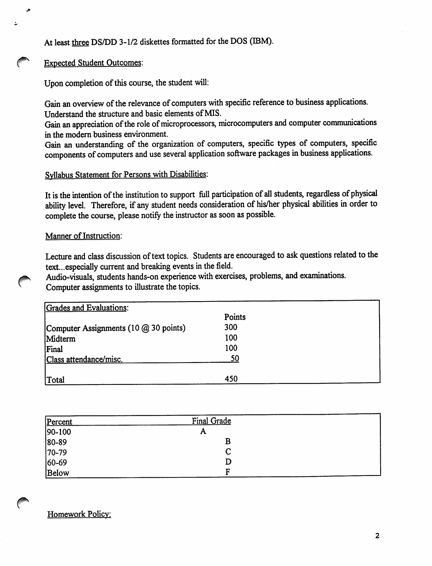*At least three DS/DD 3-1/2 diskettes formatted for the DOS (IBM).*

## *Expected Student Outcomes:*

J.

 $\overline{L}$ 

*Upon completion ofthis course, the student will:*

*Gain an overview of the relevance of computers with specific reference to business applications. Understand the structure and basic elements ofMIS.*

*Gain an appreciation ofthe role ofmicroprocessors, microcomputers and computer communications in the modern business environment.*

*Gain an understanding of the organization of computers, specific types of computers, specific components of computers and use several application software packages in business applications.*

#### *Syllabus Statement for Persons with Disabilities:*

It is the intention of the institution to support full participation of all students, regardless of physical *ability level. Therefore, if any student needs consideration of his/her physical abilities in order to complete thecourse, please notify the instructor as soon as possible.*

## **Manner** of Instruction:

Lecture and class discussion of text topics. Students are encouraged to ask questions related to the *text...especially current and breaking events inthe field.*

*Audio-visuals, students hands-on experience with exercises, problems, and examinations. Computer assignments to illustrate the topics.*

| Grades and Evaluations:               |        |  |
|---------------------------------------|--------|--|
|                                       | Points |  |
| Computer Assignments (10 @ 30 points) | 300    |  |
| Midterm                               | 100    |  |
| Final                                 | 100    |  |
| Class attendance/misc.                | 50     |  |
|                                       |        |  |
| Total                                 | 450    |  |

| Percent | Final Grade |  |
|---------|-------------|--|
| 90-100  | A           |  |
| 80-89   | B           |  |
| 70-79   | C           |  |
| 60-69   | D           |  |
| Below   | F           |  |

# *Homework Policy:*

*J|P\*